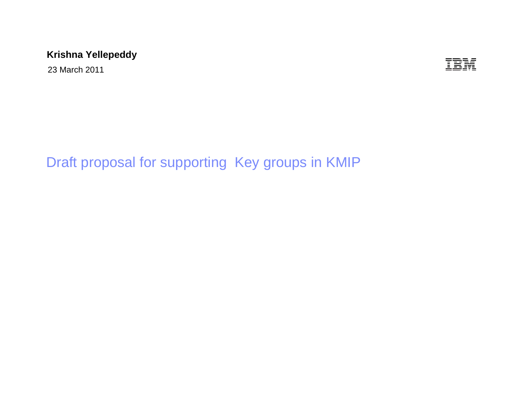### **Krishna Yellepeddy**

23 March 2011

IBM

# Draft proposal for supporting Key groups in KMIP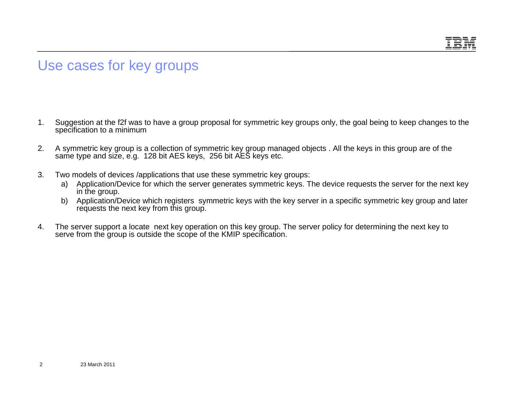## Use cases for key groups

- 1. Suggestion at the f2f was to have a group proposal for symmetric key groups only, the goal being to keep changes to the specification to a minimum
- 2. A symmetric key group is a collection of symmetric key group managed objects . All the keys in this group are of the same type and size, e.g. 128 bit AES keys, 256 bit AES keys etc.
- 3. Two models of devices /applications that use these symmetric key groups:
	- a) Application/Device for which the server generates symmetric keys. The device requests the server for the next key in the group.
	- b) Application/Device which registers symmetric keys with the key server in a specific symmetric key group and later requests the next key from this group.
- 4. The server support a locate next key operation on this key group. The server policy for determining the next key to serve from the group is outside the scope of the KMIP specification.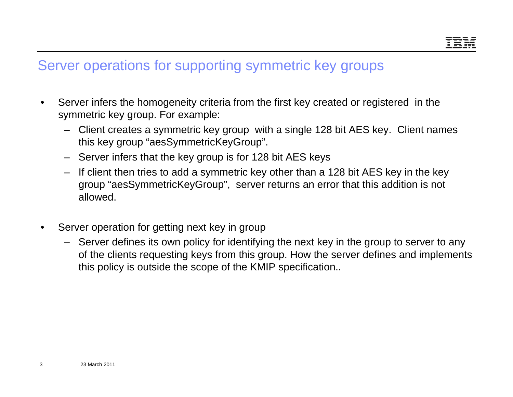## Server operations for supporting symmetric key groups

- • Server infers the homogeneity criteria from the first key created or registered in the symmetric key group. For example:
	- Client creates a symmetric key group with a single 128 bit AES key. Client names this key group "aesSymmetricKeyGroup".
	- Server infers that the key group is for 128 bit AES keys
	- If client then tries to add a symmetric key other than a 128 bit AES key in the key group "aesSymmetricKeyGroup", server returns an error that this addition is not allowed.
- • Server operation for getting next key in group
	- Server defines its own policy for identifying the next key in the group to server to any of the clients requesting keys from this group. How the server defines and implements this policy is outside the scope of the KMIP specification..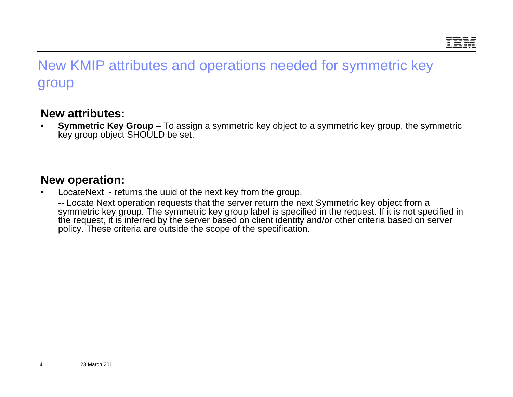# New KMIP attributes and operations needed for symmetric key group

#### **New attributes:**

• **Symmetric Key Group** – To assign a symmetric key object to a symmetric key group, the symmetric key group object SHOULD be set.

#### **New operation:**

•LocateNext - returns the uuid of the next key from the group.

-- Locate Next operation requests that the server return the next Symmetric key object from a symmetric key group. The symmetric key group label is specified in the request. If it is not specified in the request, it is inferred by the server based on client identity and/or other criteria based on server policy. These criteria are outside the scope of the specification.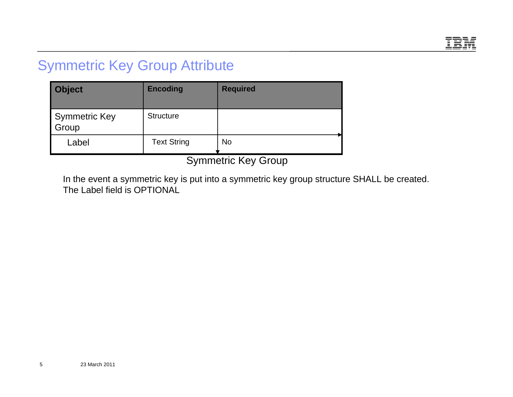

## Symmetric Key Group Attribute

| <b>Object</b>                 | <b>Encoding</b>    | <b>Required</b> |
|-------------------------------|--------------------|-----------------|
| <b>Symmetric Key</b><br>Group | <b>Structure</b>   |                 |
| Label                         | <b>Text String</b> | <b>No</b>       |
| $\sim$ $\sim$ $\sim$ $\sim$   |                    |                 |

Symmetric Key Group

In the event a symmetric key is put into a symmetric key group structure SHALL be created. The Label field is OPTIONAL

5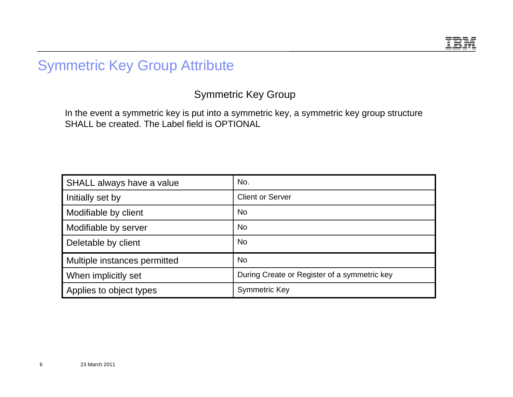

# Symmetric Key Group Attribute

Symmetric Key Group

In the event a symmetric key is put into a symmetric key, a symmetric key group structure SHALL be created. The Label field is OPTIONAL

| SHALL always have a value    | No.                                          |
|------------------------------|----------------------------------------------|
| Initially set by             | <b>Client or Server</b>                      |
| Modifiable by client         | <b>No</b>                                    |
| Modifiable by server         | <b>No</b>                                    |
| Deletable by client          | <b>No</b>                                    |
| Multiple instances permitted | <b>No</b>                                    |
| When implicitly set          | During Create or Register of a symmetric key |
| Applies to object types      | <b>Symmetric Key</b>                         |

6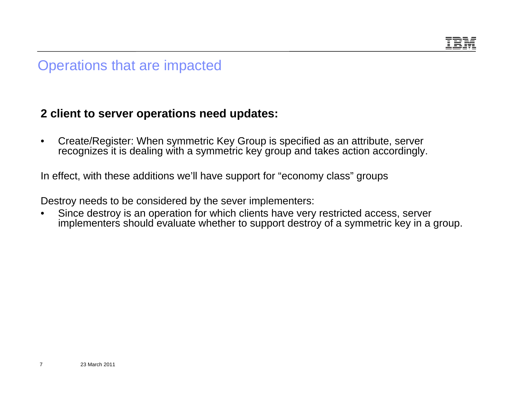

## Operations that are impacted

### **2 client to server operations need updates:**

• Create/Register: When symmetric Key Group is specified as an attribute, server recognizes it is dealing with a symmetric key group and takes action accordingly.

In effect, with these additions we'll have support for "economy class" groups

Destroy needs to be considered by the sever implementers:

• Since destroy is an operation for which clients have very restricted access, server implementers should evaluate whether to support destroy of a symmetric key in a group.